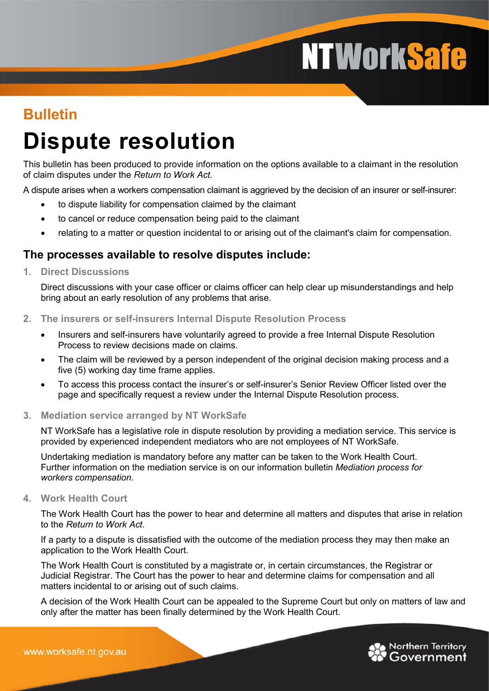# **NTWorkSafe**

### **Bulletin**

## **Dispute resolution**

This bulletin has been produced to provide information on the options available to a claimant in the resolution of claim disputes under the *Return to Work Act.*

A dispute arises when a workers compensation claimant is aggrieved by the decision of an insurer or self-insurer:

- to dispute liability for compensation claimed by the claimant
- to cancel or reduce compensation being paid to the claimant
- relating to a matter or question incidental to or arising out of the claimant's claim for compensation.

#### **The processes available to resolve disputes include:**

**1. Direct Discussions**

Direct discussions with your case officer or claims officer can help clear up misunderstandings and help bring about an early resolution of any problems that arise.

- **2. The insurers or self-insurers Internal Dispute Resolution Process**
	- Insurers and self-insurers have voluntarily agreed to provide a free Internal Dispute Resolution Process to review decisions made on claims.
	- The claim will be reviewed by a person independent of the original decision making process and a five (5) working day time frame applies.
	- To access this process contact the insurer's or self-insurer's Senior Review Officer listed over the page and specifically request a review under the Internal Dispute Resolution process.
- **3. Mediation service arranged by NT WorkSafe**

NT WorkSafe has a legislative role in dispute resolution by providing a mediation service. This service is provided by experienced independent mediators who are not employees of NT WorkSafe.

Undertaking mediation is mandatory before any matter can be taken to the Work Health Court. Further information on the mediation service is on our information bulletin *Mediation process for workers compensation.*

**4. Work Health Court**

The Work Health Court has the power to hear and determine all matters and disputes that arise in relation to the *Return to Work Act*.

If a party to a dispute is dissatisfied with the outcome of the mediation process they may then make an application to the Work Health Court.

The Work Health Court is constituted by a magistrate or, in certain circumstances, the Registrar or Judicial Registrar. The Court has the power to hear and determine claims for compensation and all matters incidental to or arising out of such claims.

A decision of the Work Health Court can be appealed to the Supreme Court but only on matters of law and only after the matter has been finally determined by the Work Health Court.